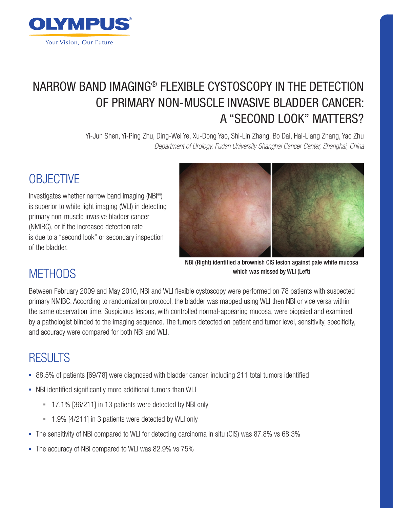

# NARROW BAND IMAGING® FLEXIBLE CYSTOSCOPY IN THE DETECTION OF PRIMARY NON-MUSCLE INVASIVE BLADDER CANCER: A ''SECOND LOOK'' MATTERS?

Yi-Jun Shen, Yi-Ping Zhu, Ding-Wei Ye, Xu-Dong Yao, Shi-Lin Zhang, Bo Dai, Hai-Liang Zhang, Yao Zhu *Department of Urology, Fudan University Shanghai Cancer Center, Shanghai, China* 

# **OBJECTIVE**

Investigates whether narrow band imaging (NBI®) is superior to white light imaging (WLI) in detecting primary non-muscle invasive bladder cancer (NMIBC), or if the increased detection rate is due to a ''second look'' or secondary inspection of the bladder.



NBI (Right) identified a brownish CIS lesion against pale white mucosa which was missed by WLI (Left)

## **METHODS**

Between February 2009 and May 2010, NBI and WLI flexible cystoscopy were performed on 78 patients with suspected primary NMIBC. According to randomization protocol, the bladder was mapped using WLI then NBI or vice versa within the same observation time. Suspicious lesions, with controlled normal-appearing mucosa, were biopsied and examined by a pathologist blinded to the imaging sequence. The tumors detected on patient and tumor level, sensitivity, specificity, and accuracy were compared for both NBI and WLI.

## RESULTS

- 88.5% of patients [69/78] were diagnosed with bladder cancer, including 211 total tumors identified
- NBI identified significantly more additional tumors than WLI
	- <sup>=</sup> 17.1% [36/211] in 13 patients were detected by NBI only
	- <sup>-</sup> 1.9% [4/211] in 3 patients were detected by WLI only
- The sensitivity of NBI compared to WLI for detecting carcinoma in situ (CIS) was 87.8% vs 68.3%
- The accuracy of NBI compared to WLI was 82.9% vs 75%